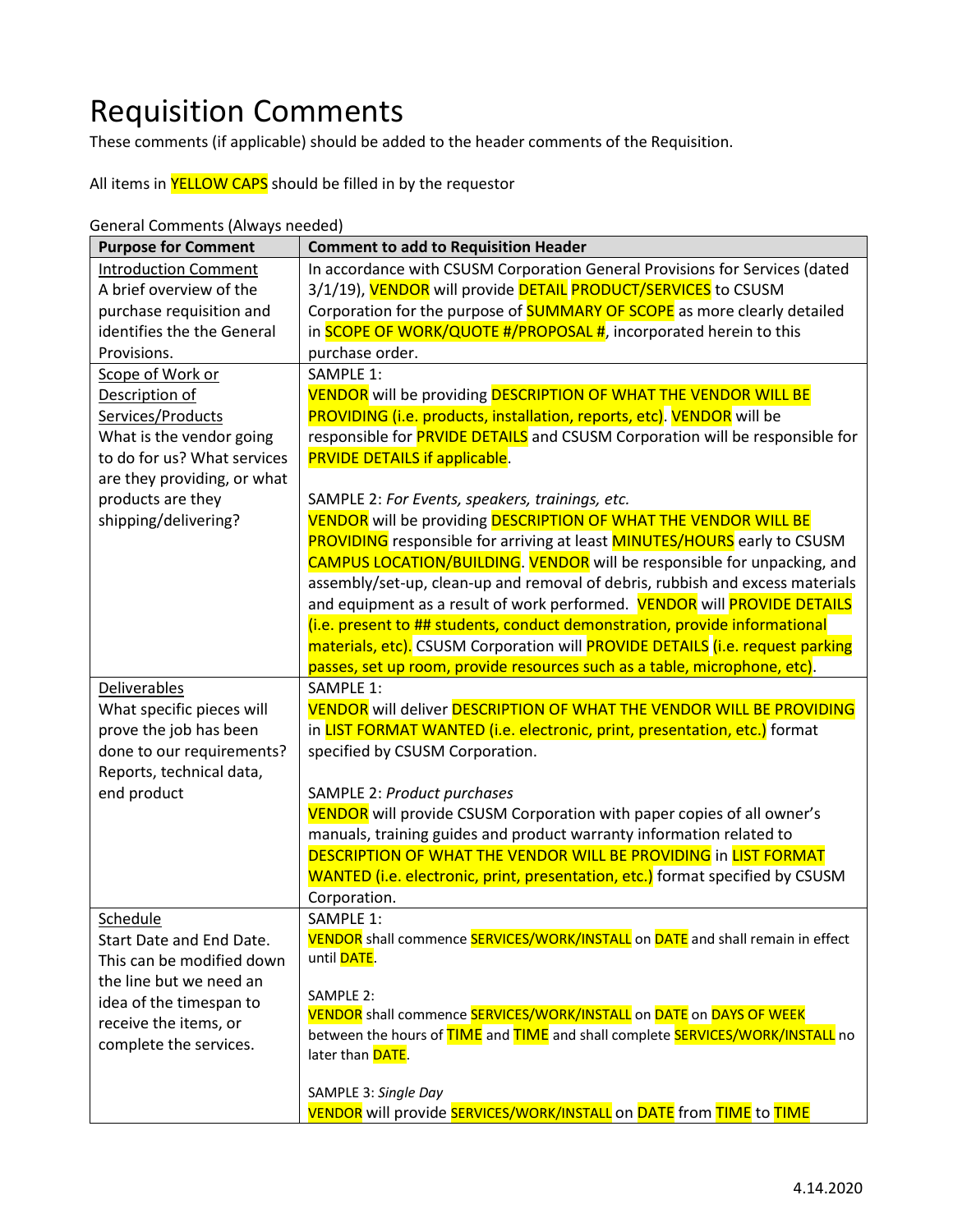## Requisition Comments

These comments (if applicable) should be added to the header comments of the Requisition.

All items in **YELLOW CAPS** should be filled in by the requestor

| <b>Purpose for Comment</b>  | <b>Comment to add to Requisition Header</b>                                                                                     |
|-----------------------------|---------------------------------------------------------------------------------------------------------------------------------|
| <b>Introduction Comment</b> | In accordance with CSUSM Corporation General Provisions for Services (dated                                                     |
| A brief overview of the     | 3/1/19), VENDOR will provide DETAIL PRODUCT/SERVICES to CSUSM                                                                   |
| purchase requisition and    | Corporation for the purpose of <b>SUMMARY OF SCOPE</b> as more clearly detailed                                                 |
| identifies the the General  | in SCOPE OF WORK/QUOTE #/PROPOSAL #, incorporated herein to this                                                                |
| Provisions.                 | purchase order.                                                                                                                 |
| Scope of Work or            | SAMPLE 1:                                                                                                                       |
| Description of              | VENDOR will be providing DESCRIPTION OF WHAT THE VENDOR WILL BE                                                                 |
| Services/Products           | PROVIDING (i.e. products, installation, reports, etc). VENDOR will be                                                           |
| What is the vendor going    | responsible for <b>PRVIDE DETAILS</b> and CSUSM Corporation will be responsible for                                             |
| to do for us? What services | PRVIDE DETAILS if applicable.                                                                                                   |
| are they providing, or what |                                                                                                                                 |
| products are they           | SAMPLE 2: For Events, speakers, trainings, etc.                                                                                 |
| shipping/delivering?        | VENDOR will be providing DESCRIPTION OF WHAT THE VENDOR WILL BE                                                                 |
|                             | <b>PROVIDING</b> responsible for arriving at least <b>MINUTES/HOURS</b> early to CSUSM                                          |
|                             | CAMPUS LOCATION/BUILDING. VENDOR will be responsible for unpacking, and                                                         |
|                             | assembly/set-up, clean-up and removal of debris, rubbish and excess materials                                                   |
|                             | and equipment as a result of work performed. VENDOR will PROVIDE DETAILS                                                        |
|                             | (i.e. present to ## students, conduct demonstration, provide informational                                                      |
|                             | materials, etc). CSUSM Corporation will <b>PROVIDE DETAILS</b> (i.e. request parking                                            |
|                             | passes, set up room, provide resources such as a table, microphone, etc).                                                       |
| Deliverables                | SAMPLE 1:                                                                                                                       |
| What specific pieces will   | VENDOR will deliver DESCRIPTION OF WHAT THE VENDOR WILL BE PROVIDING                                                            |
| prove the job has been      | in <b>LIST FORMAT WANTED (i.e. electronic, print, presentation, etc.)</b> format                                                |
| done to our requirements?   | specified by CSUSM Corporation.                                                                                                 |
| Reports, technical data,    |                                                                                                                                 |
| end product                 | <b>SAMPLE 2: Product purchases</b>                                                                                              |
|                             | VENDOR will provide CSUSM Corporation with paper copies of all owner's                                                          |
|                             | manuals, training guides and product warranty information related to                                                            |
|                             | <b>DESCRIPTION OF WHAT THE VENDOR WILL BE PROVIDING IN LIST FORMAT</b>                                                          |
|                             | WANTED (i.e. electronic, print, presentation, etc.) format specified by CSUSM                                                   |
|                             | Corporation.                                                                                                                    |
| Schedule                    | SAMPLE 1:                                                                                                                       |
| Start Date and End Date.    | VENDOR shall commence SERVICES/WORK/INSTALL on DATE and shall remain in effect                                                  |
| This can be modified down   | until DATE.                                                                                                                     |
| the line but we need an     |                                                                                                                                 |
| idea of the timespan to     | SAMPLE 2:                                                                                                                       |
| receive the items, or       | VENDOR shall commence SERVICES/WORK/INSTALL on DATE on DAYS OF WEEK                                                             |
| complete the services.      | between the hours of <b>TIME</b> and <b>TIME</b> and shall complete <b>SERVICES/WORK/INSTALL</b> no<br>later than <b>DATE</b> . |
|                             |                                                                                                                                 |
|                             | SAMPLE 3: Single Day                                                                                                            |
|                             | VENDOR will provide SERVICES/WORK/INSTALL on DATE from TIME to TIME                                                             |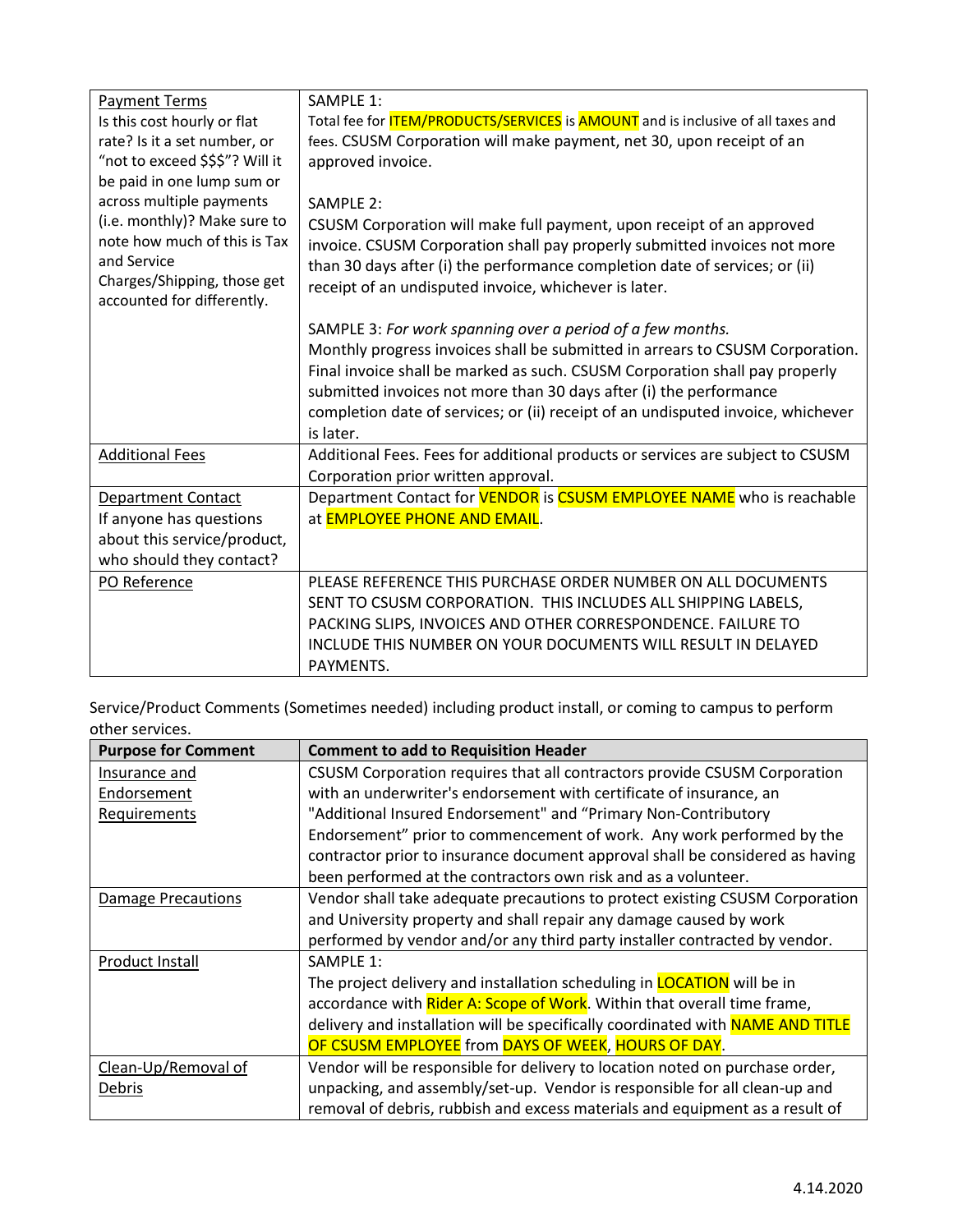| <b>Payment Terms</b>            | SAMPLE 1:                                                                                      |
|---------------------------------|------------------------------------------------------------------------------------------------|
| Is this cost hourly or flat     | Total fee for <b>ITEM/PRODUCTS/SERVICES</b> is <b>AMOUNT</b> and is inclusive of all taxes and |
| rate? Is it a set number, or    | fees. CSUSM Corporation will make payment, net 30, upon receipt of an                          |
| "not to exceed \$\$\$"? Will it | approved invoice.                                                                              |
| be paid in one lump sum or      |                                                                                                |
| across multiple payments        | <b>SAMPLE 2:</b>                                                                               |
| (i.e. monthly)? Make sure to    | CSUSM Corporation will make full payment, upon receipt of an approved                          |
| note how much of this is Tax    | invoice. CSUSM Corporation shall pay properly submitted invoices not more                      |
| and Service                     | than 30 days after (i) the performance completion date of services; or (ii)                    |
| Charges/Shipping, those get     | receipt of an undisputed invoice, whichever is later.                                          |
| accounted for differently.      |                                                                                                |
|                                 | SAMPLE 3: For work spanning over a period of a few months.                                     |
|                                 | Monthly progress invoices shall be submitted in arrears to CSUSM Corporation.                  |
|                                 | Final invoice shall be marked as such. CSUSM Corporation shall pay properly                    |
|                                 | submitted invoices not more than 30 days after (i) the performance                             |
|                                 | completion date of services; or (ii) receipt of an undisputed invoice, whichever               |
|                                 | is later.                                                                                      |
| <b>Additional Fees</b>          | Additional Fees. Fees for additional products or services are subject to CSUSM                 |
|                                 | Corporation prior written approval.                                                            |
| Department Contact              | Department Contact for <b>VENDOR</b> is CSUSM EMPLOYEE NAME who is reachable                   |
| If anyone has questions         | at <b>EMPLOYEE PHONE AND EMAIL</b> .                                                           |
| about this service/product,     |                                                                                                |
| who should they contact?        |                                                                                                |
| PO Reference                    | PLEASE REFERENCE THIS PURCHASE ORDER NUMBER ON ALL DOCUMENTS                                   |
|                                 | SENT TO CSUSM CORPORATION. THIS INCLUDES ALL SHIPPING LABELS,                                  |
|                                 | PACKING SLIPS, INVOICES AND OTHER CORRESPONDENCE. FAILURE TO                                   |
|                                 | INCLUDE THIS NUMBER ON YOUR DOCUMENTS WILL RESULT IN DELAYED                                   |
|                                 | PAYMENTS.                                                                                      |

Service/Product Comments (Sometimes needed) including product install, or coming to campus to perform other services.

| <b>Purpose for Comment</b> | <b>Comment to add to Requisition Header</b>                                    |
|----------------------------|--------------------------------------------------------------------------------|
| Insurance and              | CSUSM Corporation requires that all contractors provide CSUSM Corporation      |
| Endorsement                | with an underwriter's endorsement with certificate of insurance, an            |
| Requirements               | "Additional Insured Endorsement" and "Primary Non-Contributory                 |
|                            | Endorsement" prior to commencement of work. Any work performed by the          |
|                            | contractor prior to insurance document approval shall be considered as having  |
|                            | been performed at the contractors own risk and as a volunteer.                 |
| <b>Damage Precautions</b>  | Vendor shall take adequate precautions to protect existing CSUSM Corporation   |
|                            | and University property and shall repair any damage caused by work             |
|                            | performed by vendor and/or any third party installer contracted by vendor.     |
| Product Install            | SAMPLE 1:                                                                      |
|                            | The project delivery and installation scheduling in <b>LOCATION</b> will be in |
|                            | accordance with Rider A: Scope of Work. Within that overall time frame,        |
|                            | delivery and installation will be specifically coordinated with NAME AND TITLE |
|                            | OF CSUSM EMPLOYEE from DAYS OF WEEK, HOURS OF DAY.                             |
| Clean-Up/Removal of        | Vendor will be responsible for delivery to location noted on purchase order,   |
| Debris                     | unpacking, and assembly/set-up. Vendor is responsible for all clean-up and     |
|                            | removal of debris, rubbish and excess materials and equipment as a result of   |